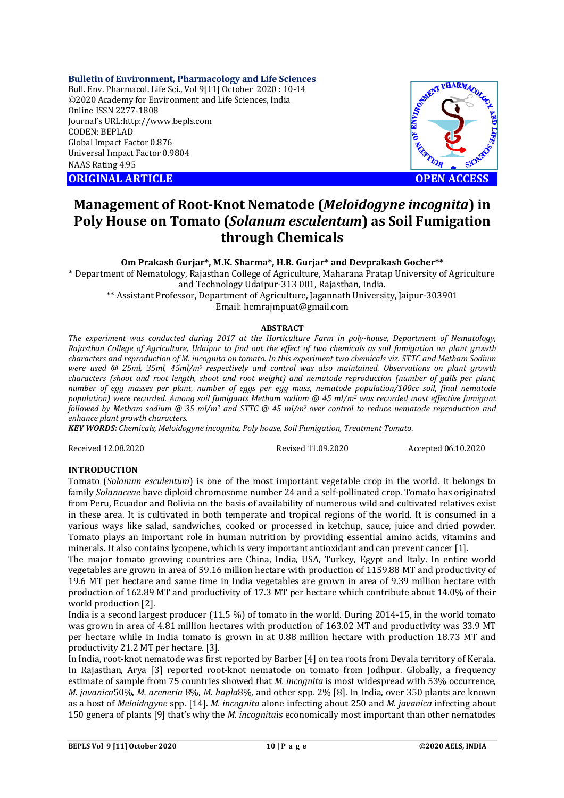# **Bulletin of Environment, Pharmacology and Life Sciences**

Bull. Env. Pharmacol. Life Sci., Vol 9[11] October 2020 : 10-14 ©2020 Academy for Environment and Life Sciences, India Online ISSN 2277-1808 Journal's URL:<http://www.bepls.com> CODEN: BEPLAD Global Impact Factor 0.876 Universal Impact Factor 0.9804 NAAS Rating 4.95

**ORIGINAL ARTICLE OPEN ACCESS**



# **Management of Root-Knot Nematode (***Meloidogyne incognita***) in Poly House on Tomato (***Solanum esculentum***) as Soil Fumigation through Chemicals**

# **Om Prakash Gurjar\*, M.K. Sharma\*, H.R. Gurjar\* and Devprakash Gocher\*\***

\* Department of Nematology, Rajasthan College of Agriculture, Maharana Pratap University of Agriculture and Technology Udaipur-313 001, Rajasthan, India.

\*\* Assistant Professor, Department of Agriculture, Jagannath University, Jaipur-303901 Email: [hemrajmpuat@gmail.com](mailto:hemrajmpuat@gmail.com)

# **ABSTRACT**

*The experiment was conducted during 2017 at the Horticulture Farm in poly-house, Department of Nematology, Rajasthan College of Agriculture, Udaipur to find out the effect of two chemicals as soil fumigation on plant growth characters and reproduction of M. incognita on tomato. In this experiment two chemicals viz. STTC and Metham Sodium were used @ 25ml, 35ml, 45ml/m2 respectively and control was also maintained. Observations on plant growth characters (shoot and root length, shoot and root weight) and nematode reproduction (number of galls per plant, number of egg masses per plant, number of eggs per egg mass, nematode population/100cc soil, final nematode population) were recorded. Among soil fumigants Metham sodium @ 45 ml/m<sup>2</sup> was recorded most effective fumigant followed by Metham sodium @ 35 ml/m<sup>2</sup> and STTC @ 45 ml/m2 over control to reduce nematode reproduction and enhance plant growth characters.*

*KEY WORDS: Chemicals, Meloidogyne incognita, Poly house, Soil Fumigation, Treatment Tomato*.

Received 12.08.2020 Revised 11.09.2020 Accepted 06.10.2020

# **INTRODUCTION**

Tomato (*Solanum esculentum*) is one of the most important vegetable crop in the world. It belongs to family *Solanaceae* have diploid chromosome number 24 and a self-pollinated crop. Tomato has originated from Peru, Ecuador and Bolivia on the basis of availability of numerous wild and cultivated relatives exist in these area. It is cultivated in both temperate and tropical regions of the world. It is consumed in a various ways like salad, sandwiches, cooked or processed in ketchup, sauce, juice and dried powder. Tomato plays an important role in human nutrition by providing essential amino acids, vitamins and minerals. It also contains lycopene, which is very important antioxidant and can prevent cancer [1].

The major tomato growing countries are China, India, USA, Turkey, Egypt and Italy. In entire world vegetables are grown in area of 59.16 million hectare with production of 1159.88 MT and productivity of 19.6 MT per hectare and same time in India vegetables are grown in area of 9.39 million hectare with production of 162.89 MT and productivity of 17.3 MT per hectare which contribute about 14.0% of their world production [2].

India is a second largest producer (11.5 %) of tomato in the world. During 2014-15, in the world tomato was grown in area of 4.81 million hectares with production of 163.02 MT and productivity was 33.9 MT per hectare while in India tomato is grown in at 0.88 million hectare with production 18.73 MT and productivity 21.2 MT per hectare. [3].

In India, root-knot nematode was first reported by Barber [4] on tea roots from Devala territory of Kerala. In Rajasthan, Arya [3] reported root-knot nematode on tomato from Jodhpur. Globally, a frequency estimate of sample from 75 countries showed that *M. incognita* is most widespread with 53% occurrence, *M. javanica*50%, *M. areneria* 8%, *M*. *hapla*8%, and other spp. 2% [8]. In India, over 350 plants are known as a host of *Meloidogyne* spp. [14]. *M. incognita* alone infecting about 250 and *M. javanica* infecting about 150 genera of plants [9] that's why the *M. incognita*is economically most important than other nematodes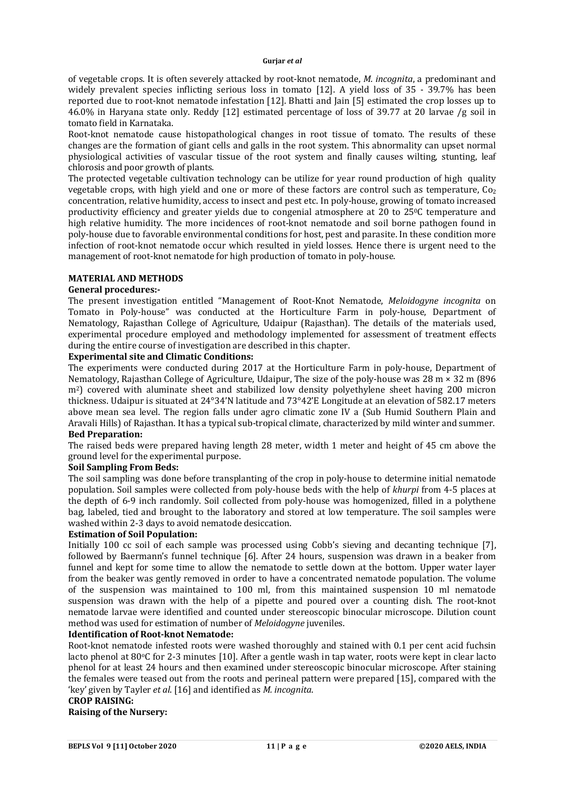of vegetable crops. It is often severely attacked by root-knot nematode, *M. incognita*, a predominant and widely prevalent species inflicting serious loss in tomato [12]. A yield loss of 35 - 39.7% has been reported due to root-knot nematode infestation [12]. Bhatti and Jain [5] estimated the crop losses up to 46.0% in Haryana state only. Reddy [12] estimated percentage of loss of 39.77 at 20 larvae /g soil in tomato field in Karnataka.

Root-knot nematode cause histopathological changes in root tissue of tomato. The results of these changes are the formation of giant cells and galls in the root system. This abnormality can upset normal physiological activities of vascular tissue of the root system and finally causes wilting, stunting, leaf chlorosis and poor growth of plants.

The protected vegetable cultivation technology can be utilize for year round production of high quality vegetable crops, with high yield and one or more of these factors are control such as temperature,  $Co<sub>2</sub>$ concentration, relative humidity, access to insect and pest etc. In poly-house, growing of tomato increased productivity efficiency and greater yields due to congenial atmosphere at 20 to 250C temperature and high relative humidity. The more incidences of root-knot nematode and soil borne pathogen found in poly-house due to favorable environmental conditions for host, pest and parasite. In these condition more infection of root-knot nematode occur which resulted in yield losses. Hence there is urgent need to the management of root-knot nematode for high production of tomato in poly-house.

# **MATERIAL AND METHODS**

# **General procedures:-**

The present investigation entitled "Management of Root-Knot Nematode, *Meloidogyne incognita* on Tomato in Poly-house" was conducted at the Horticulture Farm in poly-house, Department of Nematology, Rajasthan College of Agriculture, Udaipur (Rajasthan). The details of the materials used, experimental procedure employed and methodology implemented for assessment of treatment effects during the entire course of investigation are described in this chapter.

# **Experimental site and Climatic Conditions:**

The experiments were conducted during 2017 at the Horticulture Farm in poly-house, Department of Nematology, Rajasthan College of Agriculture, Udaipur, The size of the poly-house was 28 m × 32 m (896 m2) covered with aluminate sheet and stabilized low density polyethylene sheet having 200 micron thickness. Udaipur is situated at 24°34'N latitude and 73°42'E Longitude at an elevation of 582.17 meters above mean sea level. The region falls under agro climatic zone IV a (Sub Humid Southern Plain and Aravali Hills) of Rajasthan. It has a typical sub-tropical climate, characterized by mild winter and summer. **Bed Preparation:**

The raised beds were prepared having length 28 meter, width 1 meter and height of 45 cm above the ground level for the experimental purpose.

# **Soil Sampling From Beds:**

The soil sampling was done before transplanting of the crop in poly-house to determine initial nematode population. Soil samples were collected from poly-house beds with the help of *khurpi* from 4-5 places at the depth of 6-9 inch randomly. Soil collected from poly-house was homogenized, filled in a polythene bag, labeled, tied and brought to the laboratory and stored at low temperature. The soil samples were washed within 2-3 days to avoid nematode desiccation.

# **Estimation of Soil Population:**

Initially 100 cc soil of each sample was processed using Cobb's sieving and decanting technique [7], followed by Baermann's funnel technique [6]. After 24 hours, suspension was drawn in a beaker from funnel and kept for some time to allow the nematode to settle down at the bottom. Upper water layer from the beaker was gently removed in order to have a concentrated nematode population. The volume of the suspension was maintained to 100 ml, from this maintained suspension 10 ml nematode suspension was drawn with the help of a pipette and poured over a counting dish. The root-knot nematode larvae were identified and counted under stereoscopic binocular microscope. Dilution count method was used for estimation of number of *Meloidogyne* juveniles.

# **Identification of Root-knot Nematode:**

Root-knot nematode infested roots were washed thoroughly and stained with 0.1 per cent acid fuchsin lacto phenol at 80 $\degree$ C for 2-3 minutes [10]. After a gentle wash in tap water, roots were kept in clear lacto phenol for at least 24 hours and then examined under stereoscopic binocular microscope. After staining the females were teased out from the roots and perineal pattern were prepared [15], compared with the 'key' given by Tayler *et al*. [16] and identified as *M. incognita*.

# **CROP RAISING:**

# **Raising of the Nursery:**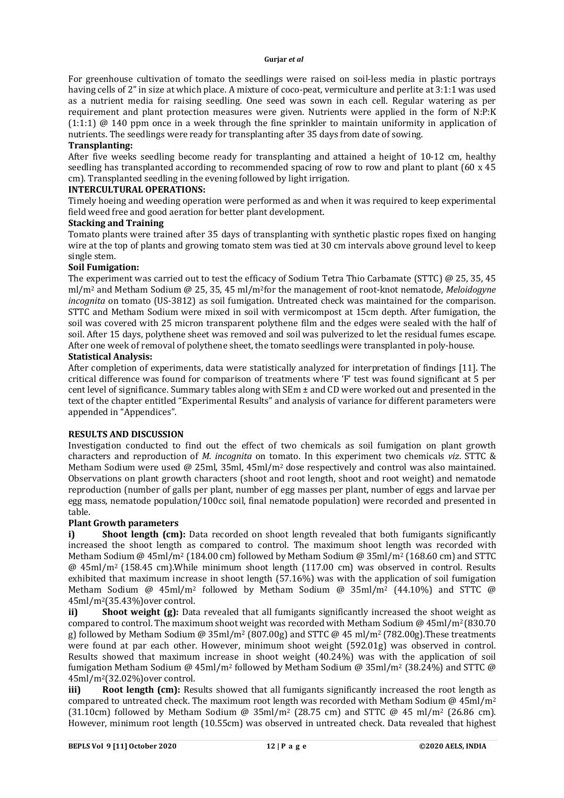### **Gurjar** *et al*

For greenhouse cultivation of tomato the seedlings were raised on soil-less media in plastic portrays having cells of 2" in size at which place. A mixture of coco-peat, vermiculture and perlite at 3:1:1 was used as a nutrient media for raising seedling. One seed was sown in each cell. Regular watering as per requirement and plant protection measures were given. Nutrients were applied in the form of N:P:K (1:1:1) @ 140 ppm once in a week through the fine sprinkler to maintain uniformity in application of nutrients. The seedlings were ready for transplanting after 35 days from date of sowing.

# **Transplanting:**

After five weeks seedling become ready for transplanting and attained a height of 10-12 cm, healthy seedling has transplanted according to recommended spacing of row to row and plant to plant (60 x 45 cm). Transplanted seedling in the evening followed by light irrigation.

# **INTERCULTURAL OPERATIONS:**

Timely hoeing and weeding operation were performed as and when it was required to keep experimental field weed free and good aeration for better plant development.

# **Stacking and Training**

Tomato plants were trained after 35 days of transplanting with synthetic plastic ropes fixed on hanging wire at the top of plants and growing tomato stem was tied at 30 cm intervals above ground level to keep single stem.

# **Soil Fumigation:**

The experiment was carried out to test the efficacy of Sodium Tetra Thio Carbamate (STTC) @ 25, 35, 45 ml/m<sup>2</sup> and Metham Sodium @ 25, 35, 45 ml/m2for the management of root-knot nematode, *Meloidogyne incognita* on tomato (US-3812) as soil fumigation. Untreated check was maintained for the comparison. STTC and Metham Sodium were mixed in soil with vermicompost at 15cm depth. After fumigation, the soil was covered with 25 micron transparent polythene film and the edges were sealed with the half of soil. After 15 days, polythene sheet was removed and soil was pulverized to let the residual fumes escape. After one week of removal of polythene sheet, the tomato seedlings were transplanted in poly-house.

# **Statistical Analysis:**

After completion of experiments, data were statistically analyzed for interpretation of findings [11]. The critical difference was found for comparison of treatments where 'F' test was found significant at 5 per cent level of significance. Summary tables along with  $SEm \pm$  and CD were worked out and presented in the text of the chapter entitled "Experimental Results" and analysis of variance for different parameters were appended in "Appendices".

# **RESULTS AND DISCUSSION**

Investigation conducted to find out the effect of two chemicals as soil fumigation on plant growth characters and reproduction of *M. incognita* on tomato. In this experiment two chemicals *viz*. STTC & Metham Sodium were used @ 25ml, 35ml, 45ml/m2 dose respectively and control was also maintained. Observations on plant growth characters (shoot and root length, shoot and root weight) and nematode reproduction (number of galls per plant, number of egg masses per plant, number of eggs and larvae per egg mass, nematode population/100cc soil, final nematode population) were recorded and presented in table.

# **Plant Growth parameters**

**i) Shoot length (cm):** Data recorded on shoot length revealed that both fumigants significantly increased the shoot length as compared to control. The maximum shoot length was recorded with Metham Sodium @ 45ml/m<sup>2</sup> (184.00 cm) followed by Metham Sodium @ 35ml/m<sup>2</sup> (168.60 cm) and STTC @ 45ml/m2 (158.45 cm).While minimum shoot length (117.00 cm) was observed in control. Results exhibited that maximum increase in shoot length (57.16%) was with the application of soil fumigation Metham Sodium @ 45ml/m<sup>2</sup> followed by Metham Sodium @ 35ml/m<sup>2</sup> (44.10%) and STTC @ 45ml/m2(35.43%)over control.

**ii) Shoot weight (g):** Data revealed that all fumigants significantly increased the shoot weight as compared to control. The maximum shoot weight was recorded with Metham Sodium  $\omega$  45ml/m<sup>2</sup> (830.70) g) followed by Metham Sodium @ 35ml/m<sup>2</sup> (807.00g) and STTC @ 45 ml/m<sup>2</sup> (782.00g). These treatments were found at par each other. However, minimum shoot weight (592.01g) was observed in control. Results showed that maximum increase in shoot weight (40.24%) was with the application of soil fumigation Metham Sodium @ 45ml/m<sup>2</sup> followed by Metham Sodium @ 35ml/m<sup>2</sup> (38.24%) and STTC @ 45ml/m2(32.02%)over control.

**iii) Root length (cm):** Results showed that all fumigants significantly increased the root length as compared to untreated check. The maximum root length was recorded with Metham Sodium @  $45$ ml/m<sup>2</sup> (31.10cm) followed by Metham Sodium @ 35ml/m<sup>2</sup> (28.75 cm) and STTC @ 45 ml/m<sup>2</sup> (26.86 cm). However, minimum root length (10.55cm) was observed in untreated check. Data revealed that highest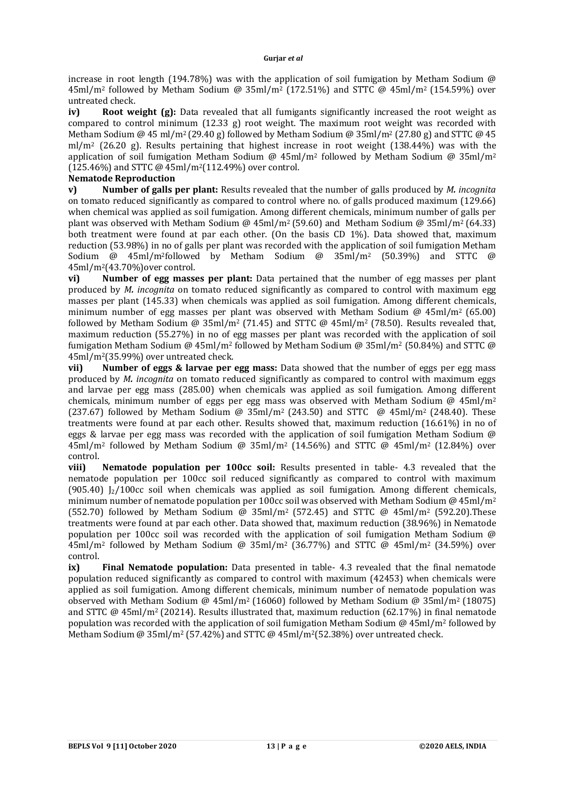### **Gurjar** *et al*

increase in root length (194.78%) was with the application of soil fumigation by Metham Sodium  $\omega$ 45ml/m<sup>2</sup> followed by Metham Sodium @ 35ml/m<sup>2</sup> (172.51%) and STTC @ 45ml/m<sup>2</sup> (154.59%) over untreated check.

**iv)** Root weight (g): Data revealed that all fumigants significantly increased the root weight as compared to control minimum (12.33 g) root weight. The maximum root weight was recorded with Metham Sodium @ 45 ml/m<sup>2</sup> (29.40 g) followed by Metham Sodium @ 35ml/m<sup>2</sup> (27.80 g) and STTC @ 45  $m/m^2$  (26.20 g). Results pertaining that highest increase in root weight (138.44%) was with the application of soil fumigation Metham Sodium @  $45 \text{ml/m}^2$  followed by Metham Sodium @  $35 \text{ml/m}^2$  $(125.46\%)$  and STTC @ 45ml/m<sup>2</sup>(112.49%) over control.

# **Nematode Reproduction**

**v) Number of galls per plant:** Results revealed that the number of galls produced by *M. incognita*  on tomato reduced significantly as compared to control where no. of galls produced maximum (129.66) when chemical was applied as soil fumigation. Among different chemicals, minimum number of galls per plant was observed with Metham Sodium @ 45ml/m<sup>2</sup> (59.60) and Metham Sodium @ 35ml/m<sup>2</sup> (64.33) both treatment were found at par each other. (On the basis CD 1%). Data showed that, maximum reduction (53.98%) in no of galls per plant was recorded with the application of soil fumigation Metham Sodium @ 45ml/m2followed by Metham Sodium @ 35ml/m<sup>2</sup> (50.39%) and STTC @ 45ml/m2(43.70%)over control.

**vi) Number of egg masses per plant:** Data pertained that the number of egg masses per plant produced by *M. incognita* on tomato reduced significantly as compared to control with maximum egg masses per plant (145.33) when chemicals was applied as soil fumigation. Among different chemicals, minimum number of egg masses per plant was observed with Metham Sodium  $\omega$  45ml/m<sup>2</sup> (65.00) followed by Metham Sodium @ 35ml/m2 (71.45) and STTC @ 45ml/m2 (78.50). Results revealed that, maximum reduction (55.27%) in no of egg masses per plant was recorded with the application of soil fumigation Metham Sodium @ 45ml/m<sup>2</sup> followed by Metham Sodium @ 35ml/m<sup>2</sup> (50.84%) and STTC @ 45ml/m2(35.99%) over untreated check.

**vii) Number of eggs & larvae per egg mass:** Data showed that the number of eggs per egg mass produced by *M. incognita* on tomato reduced significantly as compared to control with maximum eggs and larvae per egg mass (285.00) when chemicals was applied as soil fumigation. Among different chemicals, minimum number of eggs per egg mass was observed with Metham Sodium  $\omega$  45ml/m<sup>2</sup> (237.67) followed by Metham Sodium @ 35ml/m<sup>2</sup> (243.50) and STTC  $\omega$  45ml/m<sup>2</sup> (248.40). These treatments were found at par each other. Results showed that, maximum reduction (16.61%) in no of eggs & larvae per egg mass was recorded with the application of soil fumigation Metham Sodium @  $45 \text{ml/m}^2$  followed by Metham Sodium @ 35ml/m<sup>2</sup> (14.56%) and STTC @  $45 \text{ml/m}^2$  (12.84%) over control.

**viii) Nematode population per 100cc soil:** Results presented in table- 4.3 revealed that the nematode population per 100cc soil reduced significantly as compared to control with maximum (905.40) J2/100cc soil when chemicals was applied as soil fumigation. Among different chemicals, minimum number of nematode population per 100cc soil was observed with Metham Sodium @  $45$ ml/m<sup>2</sup> (552.70) followed by Metham Sodium @ 35ml/m<sup>2</sup> (572.45) and STTC @ 45ml/m<sup>2</sup> (592.20).These treatments were found at par each other. Data showed that, maximum reduction (38.96%) in Nematode population per 100cc soil was recorded with the application of soil fumigation Metham Sodium @  $45 \text{ml/m}^2$  followed by Metham Sodium @ 35ml/m<sup>2</sup> (36.77%) and STTC @  $45 \text{ml/m}^2$  (34.59%) over control.

**ix) Final Nematode population:** Data presented in table- 4.3 revealed that the final nematode population reduced significantly as compared to control with maximum (42453) when chemicals were applied as soil fumigation. Among different chemicals, minimum number of nematode population was observed with Metham Sodium @ 45ml/m<sup>2</sup> (16060) followed by Metham Sodium @ 35ml/m<sup>2</sup> (18075) and STTC  $\omega$  45ml/m<sup>2</sup> (20214). Results illustrated that, maximum reduction (62.17%) in final nematode population was recorded with the application of soil fumigation Metham Sodium @ 45ml/m<sup>2</sup> followed by Metham Sodium @ 35ml/m<sup>2</sup> (57.42%) and STTC @ 45ml/m<sup>2</sup> (52.38%) over untreated check.